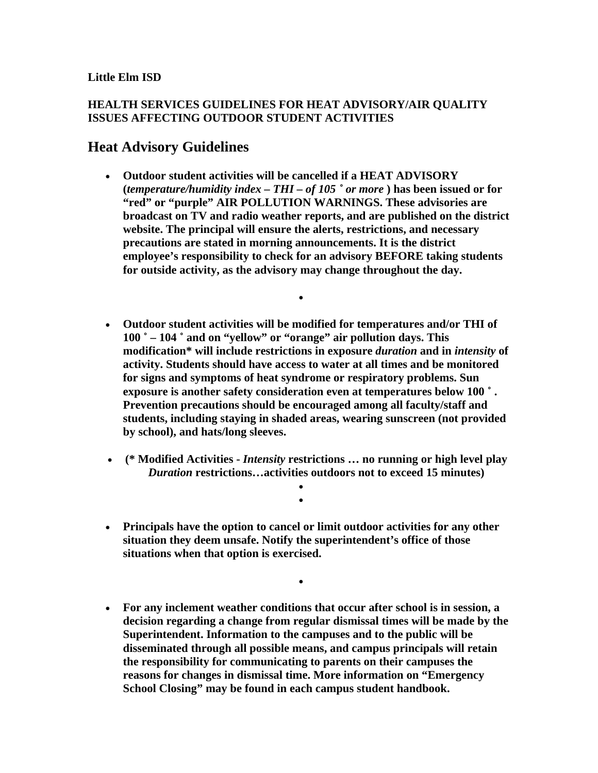## **Little Elm ISD**

## **HEALTH SERVICES GUIDELINES FOR HEAT ADVISORY/AIR QUALITY ISSUES AFFECTING OUTDOOR STUDENT ACTIVITIES**

## **Heat Advisory Guidelines**

• **Outdoor student activities will be cancelled if a HEAT ADVISORY (***temperature/humidity index – THI – of 105 ˚ or more* **) has been issued or for "red" or "purple" AIR POLLUTION WARNINGS. These advisories are broadcast on TV and radio weather reports, and are published on the district website. The principal will ensure the alerts, restrictions, and necessary precautions are stated in morning announcements. It is the district employee's responsibility to check for an advisory BEFORE taking students for outside activity, as the advisory may change throughout the day.** 

•

- **Outdoor student activities will be modified for temperatures and/or THI of 100 ˚ – 104 ˚ and on "yellow" or "orange" air pollution days. This modification\* will include restrictions in exposure** *duration* **and in** *intensity* **of activity. Students should have access to water at all times and be monitored for signs and symptoms of heat syndrome or respiratory problems. Sun exposure is another safety consideration even at temperatures below 100 ˚ . Prevention precautions should be encouraged among all faculty/staff and students, including staying in shaded areas, wearing sunscreen (not provided by school), and hats/long sleeves.**
- **(\* Modified Activities** *Intensity* **restrictions … no running or high level play**  *Duration* **restrictions…activities outdoors not to exceed 15 minutes)**

• •

• **Principals have the option to cancel or limit outdoor activities for any other situation they deem unsafe. Notify the superintendent's office of those situations when that option is exercised.** 

•

• **For any inclement weather conditions that occur after school is in session, a decision regarding a change from regular dismissal times will be made by the Superintendent. Information to the campuses and to the public will be disseminated through all possible means, and campus principals will retain the responsibility for communicating to parents on their campuses the reasons for changes in dismissal time. More information on "Emergency School Closing" may be found in each campus student handbook.**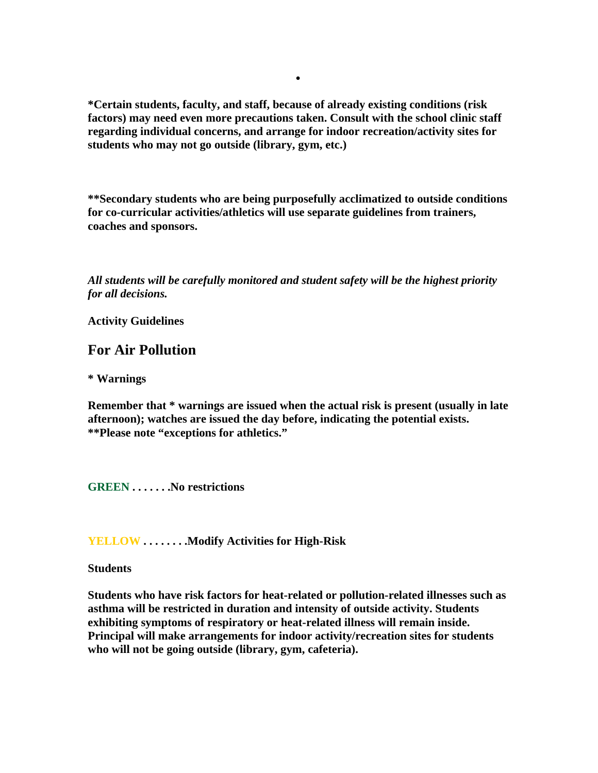**\*Certain students, faculty, and staff, because of already existing conditions (risk factors) may need even more precautions taken. Consult with the school clinic staff regarding individual concerns, and arrange for indoor recreation/activity sites for students who may not go outside (library, gym, etc.)** 

•

**\*\*Secondary students who are being purposefully acclimatized to outside conditions for co-curricular activities/athletics will use separate guidelines from trainers, coaches and sponsors.** 

*All students will be carefully monitored and student safety will be the highest priority for all decisions.* 

**Activity Guidelines** 

## **For Air Pollution**

**\* Warnings** 

**Remember that \* warnings are issued when the actual risk is present (usually in late afternoon); watches are issued the day before, indicating the potential exists. \*\*Please note "exceptions for athletics."** 

**GREEN . . . . . . .No restrictions** 

**YELLOW . . . . . . . .Modify Activities for High-Risk** 

**Students** 

**Students who have risk factors for heat-related or pollution-related illnesses such as asthma will be restricted in duration and intensity of outside activity. Students exhibiting symptoms of respiratory or heat-related illness will remain inside. Principal will make arrangements for indoor activity/recreation sites for students who will not be going outside (library, gym, cafeteria).**